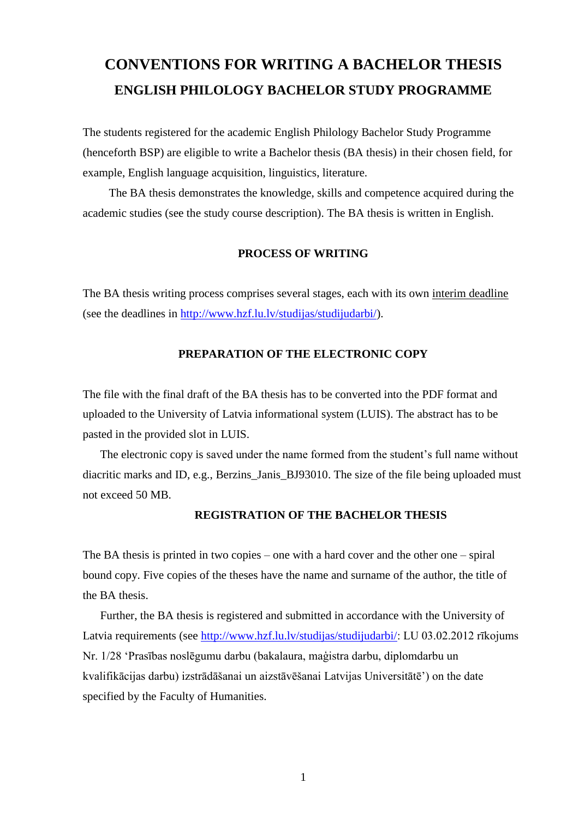# **CONVENTIONS FOR WRITING A BACHELOR THESIS ENGLISH PHILOLOGY BACHELOR STUDY PROGRAMME**

The students registered for the academic English Philology Bachelor Study Programme (henceforth BSP) are eligible to write a Bachelor thesis (BA thesis) in their chosen field, for example, English language acquisition, linguistics, literature.

The BA thesis demonstrates the knowledge, skills and competence acquired during the academic studies (see the study course description). The BA thesis is written in English.

#### **PROCESS OF WRITING**

The BA thesis writing process comprises several stages, each with its own interim deadline (see the deadlines in [http://www.hzf.lu.lv/studijas/studijudarbi/\)](http://www.hzf.lu.lv/studijas/studijudarbi/).

#### **PREPARATION OF THE ELECTRONIC COPY**

The file with the final draft of the BA thesis has to be converted into the PDF format and uploaded to the University of Latvia informational system (LUIS). The abstract has to be pasted in the provided slot in LUIS.

The electronic copy is saved under the name formed from the student's full name without diacritic marks and ID, e.g., Berzins Janis BJ93010. The size of the file being uploaded must not exceed 50 MB.

#### **REGISTRATION OF THE BACHELOR THESIS**

The BA thesis is printed in two copies – one with a hard cover and the other one – spiral bound copy. Five copies of the theses have the name and surname of the author, the title of the BA thesis.

Further, the BA thesis is registered and submitted in accordance with the University of Latvia requirements (see [http://www.hzf.lu.lv/studijas/studijudarbi/:](http://www.hzf.lu.lv/studijas/studijudarbi/) LU 03.02.2012 rīkojums Nr. 1/28 'Prasības noslēgumu darbu (bakalaura, maģistra darbu, diplomdarbu un kvalifikācijas darbu) izstrādāšanai un aizstāvēšanai Latvijas Universitātē') on the date specified by the Faculty of Humanities.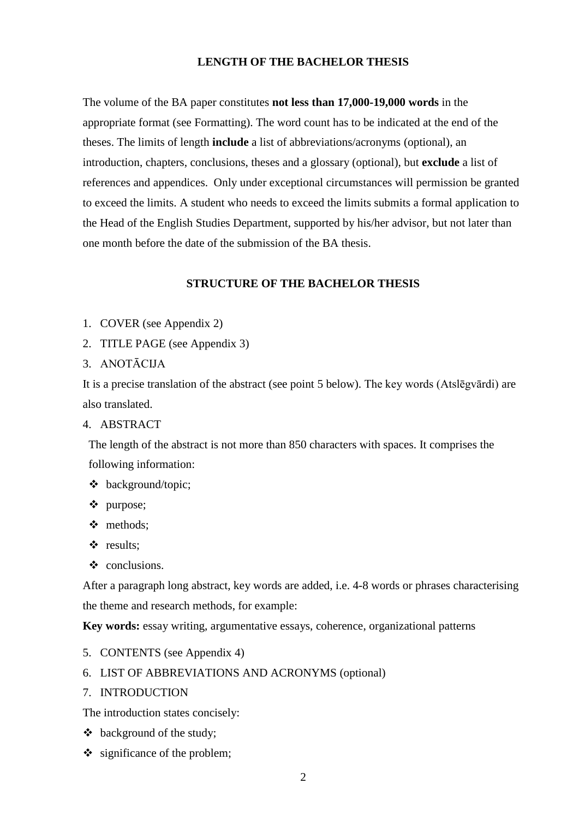#### **LENGTH OF THE BACHELOR THESIS**

The volume of the BA paper constitutes **not less than 17,000-19,000 words** in the appropriate format (see Formatting). The word count has to be indicated at the end of the theses. The limits of length **include** a list of abbreviations/acronyms (optional), an introduction, chapters, conclusions, theses and a glossary (optional), but **exclude** a list of references and appendices. Only under exceptional circumstances will permission be granted to exceed the limits. A student who needs to exceed the limits submits a formal application to the Head of the English Studies Department, supported by his/her advisor, but not later than one month before the date of the submission of the BA thesis.

#### **STRUCTURE OF THE BACHELOR THESIS**

- 1. COVER (see Appendix 2)
- 2. TITLE PAGE (see Appendix 3)
- 3. ANOTĀCIJA

It is a precise translation of the abstract (see point 5 below). The key words (Atslēgvārdi) are also translated.

#### 4. ABSTRACT

The length of the abstract is not more than 850 characters with spaces. It comprises the following information:

- background/topic;
- purpose;
- methods;
- results;
- $\triangleleft$  conclusions.

After a paragraph long abstract, key words are added, i.e. 4-8 words or phrases characterising the theme and research methods, for example:

**Key words:** essay writing, argumentative essays, coherence, organizational patterns

- 5. CONTENTS (see Appendix 4)
- 6. LIST OF ABBREVIATIONS AND ACRONYMS (optional)
- 7. INTRODUCTION

The introduction states concisely:

- background of the study;
- $\div$  significance of the problem;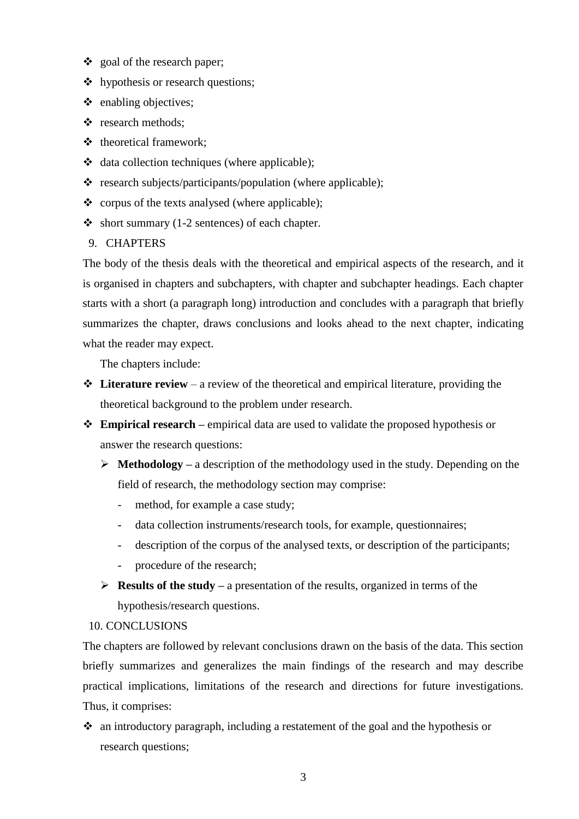- goal of the research paper;
- hypothesis or research questions;
- $\triangle$  enabling objectives;
- $\div$  research methods;
- $\triangleleft$  theoretical framework;
- data collection techniques (where applicable);
- $\triangle$  research subjects/participants/population (where applicable);
- $\bullet$  corpus of the texts analysed (where applicable);
- $\bullet$  short summary (1-2 sentences) of each chapter.
- 9. CHAPTERS

The body of the thesis deals with the theoretical and empirical aspects of the research, and it is organised in chapters and subchapters, with chapter and subchapter headings. Each chapter starts with a short (a paragraph long) introduction and concludes with a paragraph that briefly summarizes the chapter, draws conclusions and looks ahead to the next chapter, indicating what the reader may expect.

The chapters include:

- **Literature review** a review of the theoretical and empirical literature, providing the theoretical background to the problem under research.
- **Empirical research –** empirical data are used to validate the proposed hypothesis or answer the research questions:
	- **Methodology –** a description of the methodology used in the study. Depending on the field of research, the methodology section may comprise:
		- method, for example a case study;
		- data collection instruments/research tools, for example, questionnaires;
		- description of the corpus of the analysed texts, or description of the participants;
		- procedure of the research;
	- **Results of the study –** a presentation of the results, organized in terms of the hypothesis/research questions.

#### 10. CONCLUSIONS

The chapters are followed by relevant conclusions drawn on the basis of the data. This section briefly summarizes and generalizes the main findings of the research and may describe practical implications, limitations of the research and directions for future investigations. Thus, it comprises:

 an introductory paragraph, including a restatement of the goal and the hypothesis or research questions;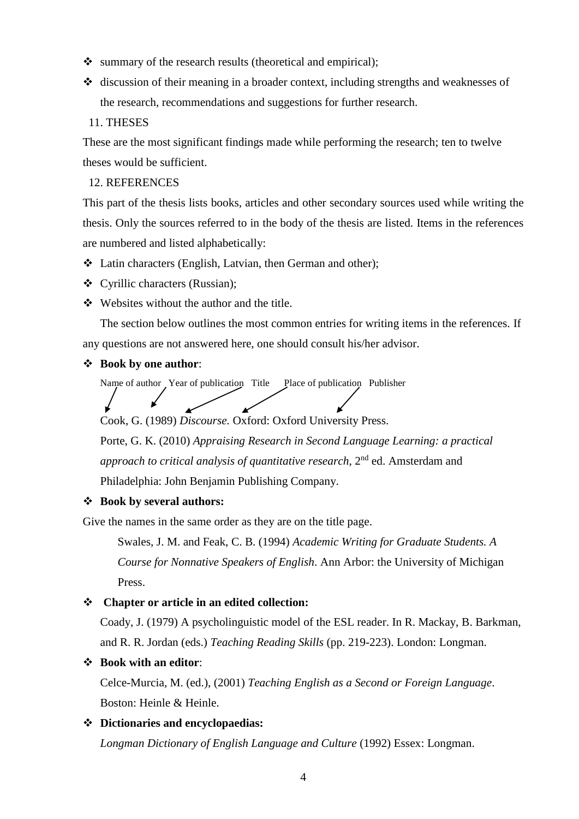- $\bullet$  summary of the research results (theoretical and empirical);
- $\triangleleft$  discussion of their meaning in a broader context, including strengths and weaknesses of the research, recommendations and suggestions for further research.
- 11. THESES

These are the most significant findings made while performing the research; ten to twelve theses would be sufficient.

#### 12. REFERENCES

This part of the thesis lists books, articles and other secondary sources used while writing the thesis. Only the sources referred to in the body of the thesis are listed. Items in the references are numbered and listed alphabetically:

- Latin characters (English, Latvian, then German and other);
- Cyrillic characters (Russian);
- $\div$  Websites without the author and the title.

The section below outlines the most common entries for writing items in the references. If any questions are not answered here, one should consult his/her advisor.

#### **Book by one author**:

Name of author Year of publication Title Place of publication Publisher

Cook, G. (1989) *Discourse.* Oxford: Oxford University Press.

Porte, G. K. (2010) *Appraising Research in Second Language Learning: a practical approach to critical analysis of quantitative research*, 2<sup>nd</sup> ed. Amsterdam and Philadelphia: John Benjamin Publishing Company.

#### **Book by several authors:**

Give the names in the same order as they are on the title page.

Swales, J. M. and Feak, C. B. (1994) *Academic Writing for Graduate Students. A Course for Nonnative Speakers of English*. Ann Arbor: the University of Michigan Press.

#### **Chapter or article in an edited collection:**

Coady, J. (1979) A psycholinguistic model of the ESL reader. In R. Mackay, B. Barkman, and R. R. Jordan (eds.) *Teaching Reading Skills* (pp. 219-223). London: Longman.

#### **Book with an editor**:

Celce-Murcia, M. (ed.), (2001) *Teaching English as a Second or Foreign Language*. Boston: Heinle & Heinle.

#### **Dictionaries and encyclopaedias:**

*Longman Dictionary of English Language and Culture* (1992) Essex: Longman.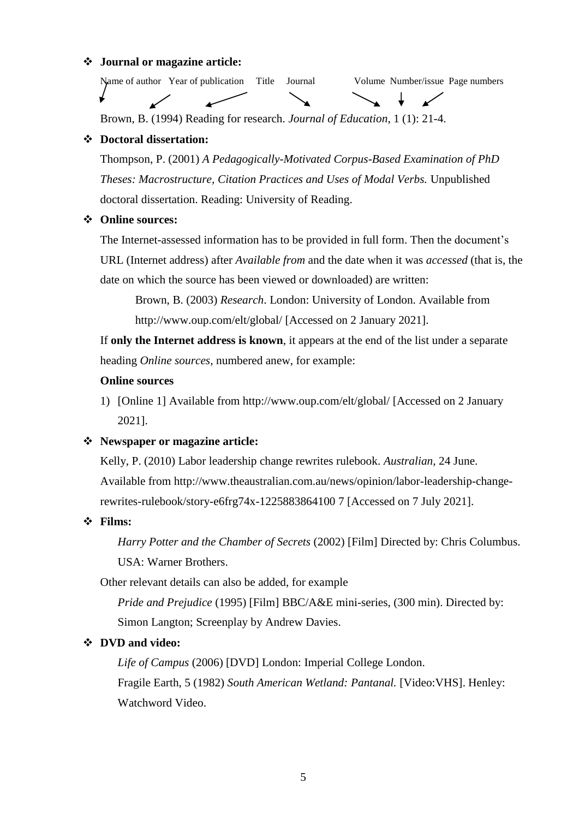#### **Journal or magazine article:**

Name of author Year of publication Title Journal Volume Number/issue Page numbers

Brown, B. (1994) Reading for research. *Journal of Education*, 1 (1): 21-4.

#### **Doctoral dissertation:**

Thompson, P. (2001) *A Pedagogically-Motivated Corpus-Based Examination of PhD Theses: Macrostructure, Citation Practices and Uses of Modal Verbs.* Unpublished doctoral dissertation. Reading: University of Reading.

#### **Online sources:**

The Internet-assessed information has to be provided in full form. Then the document's URL (Internet address) after *Available from* and the date when it was *accessed* (that is, the date on which the source has been viewed or downloaded) are written:

Brown, B. (2003) *Research*. London: University of London. Available from <http://www.oup.com/elt/global/> [Accessed on 2 January 2021].

If **only the Internet address is known**, it appears at the end of the list under a separate heading *Online sources,* numbered anew, for example:

#### **Online sources**

1) [Online 1] Available from<http://www.oup.com/elt/global/> [Accessed on 2 January 2021].

#### **Newspaper or magazine article:**

Kelly, P. (2010) Labor leadership change rewrites rulebook. *Australian*, 24 June. Available from http://www.theaustralian.com.au/news/opinion/labor-leadership-changerewrites-rulebook/story-e6frg74x-1225883864100 7 [Accessed on 7 July 2021].

#### **Films:**

*Harry Potter and the Chamber of Secrets* (2002) [Film] Directed by: Chris Columbus. USA: Warner Brothers.

Other relevant details can also be added, for example

*Pride and Prejudice* (1995) [Film] BBC/A&E mini-series, (300 min). Directed by: Simon Langton; Screenplay by Andrew Davies.

#### **DVD and video:**

*Life of Campus* (2006) [DVD] London: Imperial College London.

Fragile Earth, 5 (1982) *South American Wetland: Pantanal.* [Video:VHS]. Henley: Watchword Video.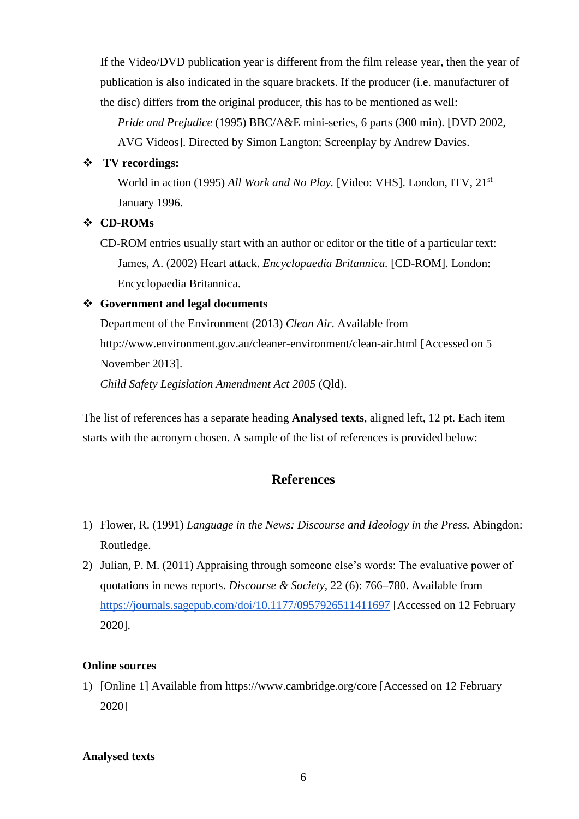If the Video/DVD publication year is different from the film release year, then the year of publication is also indicated in the square brackets. If the producer (i.e. manufacturer of the disc) differs from the original producer, this has to be mentioned as well:

*Pride and Prejudice* (1995) BBC/A&E mini-series, 6 parts (300 min). [DVD 2002, AVG Videos]. Directed by Simon Langton; Screenplay by Andrew Davies.

#### **TV recordings:**

World in action (1995) *All Work and No Play.* [Video: VHS]. London, ITV, 21<sup>st</sup> January 1996.

#### **CD-ROMs**

CD-ROM entries usually start with an author or editor or the title of a particular text: James, A. (2002) Heart attack. *Encyclopaedia Britannica.* [CD-ROM]. London: Encyclopaedia Britannica.

#### **Government and legal documents**

Department of the Environment (2013) *Clean Air*. Available from http://www.environment.gov.au/cleaner-environment/clean-air.html [Accessed on 5 November 2013].

*Child Safety Legislation Amendment Act 2005* (Qld).

The list of references has a separate heading **Analysed texts**, aligned left, 12 pt. Each item starts with the acronym chosen. A sample of the list of references is provided below:

## **References**

- 1) Flower, R. (1991) *Language in the News: Discourse and Ideology in the Press.* Abingdon: Routledge.
- 2) Julian, P. M. (2011) Appraising through someone else's words: The evaluative power of quotations in news reports. *Discourse & Society,* 22 (6): 766–780. Available from <https://journals.sagepub.com/doi/10.1177/0957926511411697> [Accessed on 12 February 2020].

#### **Online sources**

1) [Online 1] Available from https://www.cambridge.org/core [Accessed on 12 February 2020]

#### **Analysed texts**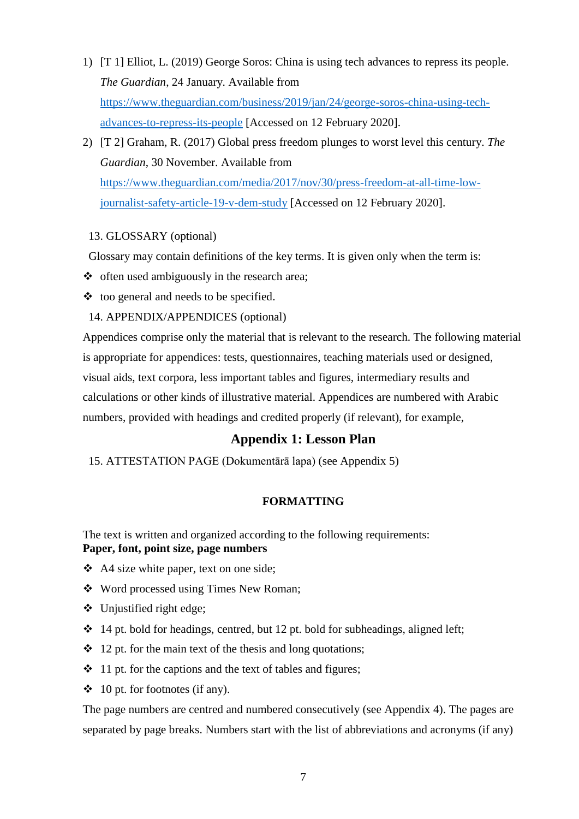- 1) [T 1] Elliot, L. (2019) George Soros: China is using tech advances to repress its people. *The Guardian*, 24 January. Available from [https://www.theguardian.com/business/2019/jan/24/george-soros-china-using-tech](https://www.theguardian.com/business/2019/jan/24/george-soros-china-using-tech-advances-to-repress-its-people)[advances-to-repress-its-people](https://www.theguardian.com/business/2019/jan/24/george-soros-china-using-tech-advances-to-repress-its-people) [Accessed on 12 February 2020].
- 2) [T 2] Graham, R. (2017) Global press freedom plunges to worst level this century. *The Guardian*, 30 November. Available from [https://www.theguardian.com/media/2017/nov/30/press-freedom-at-all-time-low](https://www.theguardian.com/media/2017/nov/30/press-freedom-at-all-time-low-journalist-safety-article-19-v-dem-study)[journalist-safety-article-19-v-dem-study](https://www.theguardian.com/media/2017/nov/30/press-freedom-at-all-time-low-journalist-safety-article-19-v-dem-study) [Accessed on 12 February 2020].

#### 13. GLOSSARY (optional)

Glossary may contain definitions of the key terms. It is given only when the term is:

- $\triangle$  often used ambiguously in the research area;
- $\triangleleft$  too general and needs to be specified.

#### 14. APPENDIX/APPENDICES (optional)

Appendices comprise only the material that is relevant to the research. The following material is appropriate for appendices: tests, questionnaires, teaching materials used or designed, visual aids, text corpora, less important tables and figures, intermediary results and calculations or other kinds of illustrative material. Appendices are numbered with Arabic numbers, provided with headings and credited properly (if relevant), for example,

## **Appendix 1: Lesson Plan**

15. ATTESTATION PAGE (Dokumentārā lapa) (see Appendix 5)

#### **FORMATTING**

The text is written and organized according to the following requirements: **Paper, font, point size, page numbers**

- A4 size white paper, text on one side;
- Word processed using Times New Roman;
- $\bullet$  Unjustified right edge;
- $\cdot$  14 pt. bold for headings, centred, but 12 pt. bold for subheadings, aligned left;
- $\div$  12 pt. for the main text of the thesis and long quotations;
- $\cdot$  11 pt. for the captions and the text of tables and figures;
- $\div$  10 pt. for footnotes (if any).

The page numbers are centred and numbered consecutively (see Appendix 4). The pages are separated by page breaks. Numbers start with the list of abbreviations and acronyms (if any)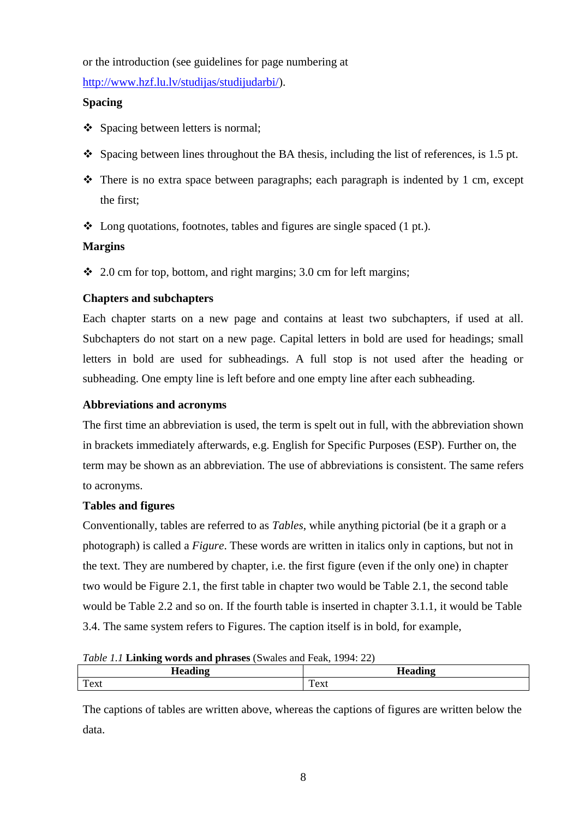or the introduction (see guidelines for page numbering at

[http://www.hzf.lu.lv/studijas/studijudarbi/\)](http://www.hzf.lu.lv/studijas/studijudarbi/).

#### **Spacing**

- ❖ Spacing between letters is normal;
- $\bullet$  Spacing between lines throughout the BA thesis, including the list of references, is 1.5 pt.
- $\triangle$  There is no extra space between paragraphs; each paragraph is indented by 1 cm, except the first;
- $\triangleleft$  Long quotations, footnotes, tables and figures are single spaced (1 pt.).

## **Margins**

 $\div$  2.0 cm for top, bottom, and right margins; 3.0 cm for left margins;

#### **Chapters and subchapters**

Each chapter starts on a new page and contains at least two subchapters, if used at all. Subchapters do not start on a new page. Capital letters in bold are used for headings; small letters in bold are used for subheadings. A full stop is not used after the heading or subheading. One empty line is left before and one empty line after each subheading.

#### **Abbreviations and acronyms**

The first time an abbreviation is used, the term is spelt out in full, with the abbreviation shown in brackets immediately afterwards, e.g. English for Specific Purposes (ESP). Further on, the term may be shown as an abbreviation. The use of abbreviations is consistent. The same refers to acronyms.

#### **Tables and figures**

Conventionally, tables are referred to as *Tables*, while anything pictorial (be it a graph or a photograph) is called a *Figure*. These words are written in italics only in captions, but not in the text. They are numbered by chapter, i.e. the first figure (even if the only one) in chapter two would be Figure 2.1, the first table in chapter two would be Table 2.1, the second table would be Table 2.2 and so on. If the fourth table is inserted in chapter 3.1.1, it would be Table 3.4. The same system refers to Figures. The caption itself is in bold, for example,

*Table 1.1* **Linking words and phrases** (Swales and Feak, 1994: 22)

| Twee 1.1 <b>Emmine</b> words and plinable towards and I can, 177 it EET |       |  |
|-------------------------------------------------------------------------|-------|--|
| Heading                                                                 |       |  |
| Text                                                                    | l'ext |  |
|                                                                         |       |  |

The captions of tables are written above, whereas the captions of figures are written below the data.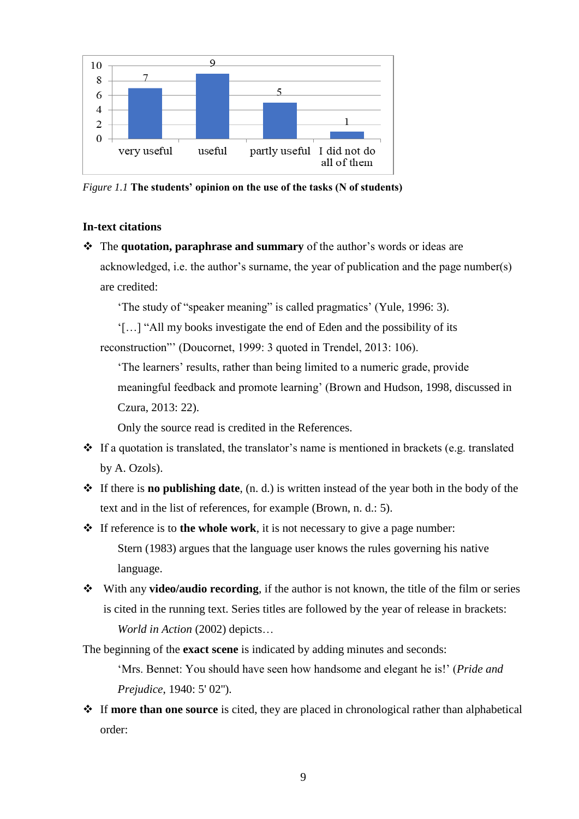

*Figure 1.1* **The students' opinion on the use of the tasks (N of students)**

#### **In-text citations**

 The **quotation, paraphrase and summary** of the author's words or ideas are acknowledged, i.e. the author's surname, the year of publication and the page number(s) are credited:

'The study of "speaker meaning" is called pragmatics' (Yule, 1996: 3).

'[…] "All my books investigate the end of Eden and the possibility of its reconstruction"' (Doucornet, 1999: 3 quoted in Trendel, 2013: 106).

'The learners' results, rather than being limited to a numeric grade, provide

meaningful feedback and promote learning' (Brown and Hudson, 1998, discussed in Czura, 2013: 22).

Only the source read is credited in the References.

- $\div$  If a quotation is translated, the translator's name is mentioned in brackets (e.g. translated by A. Ozols).
- If there is **no publishing date**, (n. d.) is written instead of the year both in the body of the text and in the list of references, for example (Brown, n. d.: 5).
- If reference is to **the whole work**, it is not necessary to give a page number: Stern (1983) argues that the language user knows the rules governing his native language.
- With any **video/audio recording**, if the author is not known, the title of the film or series is cited in the running text. Series titles are followed by the year of release in brackets: *World in Action* (2002) depicts…

The beginning of the **exact scene** is indicated by adding minutes and seconds:

'Mrs. Bennet: You should have seen how handsome and elegant he is!' (*Pride and Prejudice*, 1940: 5' 02'').

 If **more than one source** is cited, they are placed in chronological rather than alphabetical order: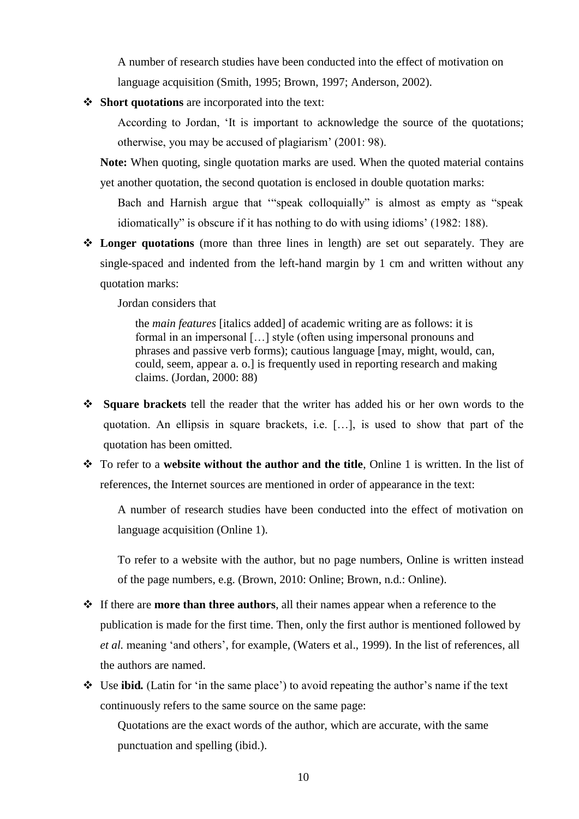A number of research studies have been conducted into the effect of motivation on language acquisition (Smith, 1995; Brown, 1997; Anderson, 2002).

**Short quotations** are incorporated into the text:

According to Jordan, 'It is important to acknowledge the source of the quotations; otherwise, you may be accused of plagiarism' (2001: 98).

**Note:** When quoting, single quotation marks are used. When the quoted material contains yet another quotation, the second quotation is enclosed in double quotation marks:

Bach and Harnish argue that '"speak colloquially" is almost as empty as "speak idiomatically" is obscure if it has nothing to do with using idioms' (1982: 188).

 **Longer quotations** (more than three lines in length) are set out separately. They are single-spaced and indented from the left-hand margin by 1 cm and written without any quotation marks:

Jordan considers that

the *main features* [italics added] of academic writing are as follows: it is formal in an impersonal […] style (often using impersonal pronouns and phrases and passive verb forms); cautious language [may, might, would, can, could, seem, appear a. o.] is frequently used in reporting research and making claims. (Jordan, 2000: 88)

- **Square brackets** tell the reader that the writer has added his or her own words to the quotation. An ellipsis in square brackets, i.e. […], is used to show that part of the quotation has been omitted.
- To refer to a **website without the author and the title**, Online 1 is written. In the list of references, the Internet sources are mentioned in order of appearance in the text:

A number of research studies have been conducted into the effect of motivation on language acquisition (Online 1).

To refer to a website with the author, but no page numbers, Online is written instead of the page numbers, e.g. (Brown, 2010: Online; Brown, n.d.: Online).

- If there are **more than three authors**, all their names appear when a reference to the publication is made for the first time. Then, only the first author is mentioned followed by *et al.* meaning 'and others', for example, (Waters et al., 1999). In the list of references, all the authors are named.
- Use **ibid***.* (Latin for 'in the same place') to avoid repeating the author's name if the text continuously refers to the same source on the same page:

Quotations are the exact words of the author, which are accurate, with the same punctuation and spelling (ibid.).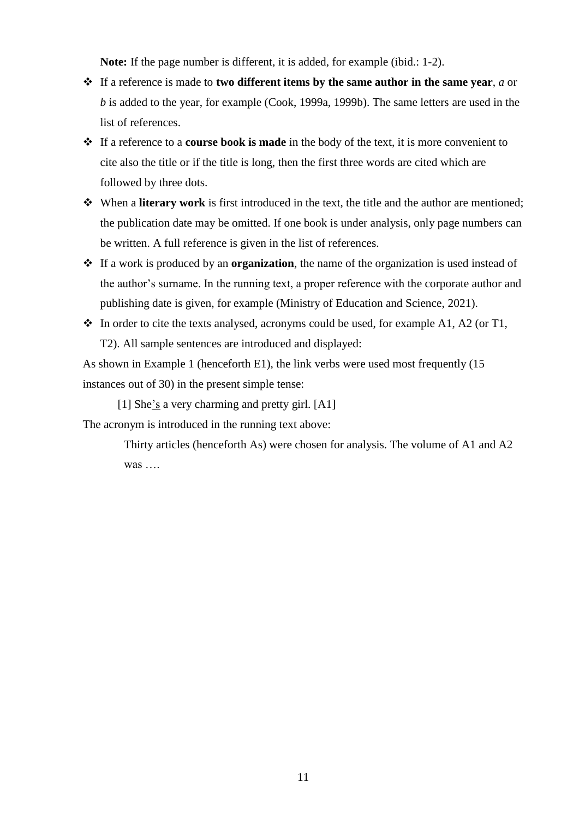**Note:** If the page number is different, it is added, for example (ibid.: 1-2).

- If a reference is made to **two different items by the same author in the same year**, *a* or *b* is added to the year, for example (Cook, 1999a, 1999b). The same letters are used in the list of references.
- If a reference to a **course book is made** in the body of the text, it is more convenient to cite also the title or if the title is long, then the first three words are cited which are followed by three dots.
- When a **literary work** is first introduced in the text, the title and the author are mentioned; the publication date may be omitted. If one book is under analysis, only page numbers can be written. A full reference is given in the list of references.
- If a work is produced by an **organization**, the name of the organization is used instead of the author's surname. In the running text, a proper reference with the corporate author and publishing date is given, for example (Ministry of Education and Science, 2021).
- $\bullet$  In order to cite the texts analysed, acronyms could be used, for example A1, A2 (or T1, T2). All sample sentences are introduced and displayed:

As shown in Example 1 (henceforth E1), the link verbs were used most frequently (15 instances out of 30) in the present simple tense:

[1] She's a very charming and pretty girl. [A1] The acronym is introduced in the running text above:

> Thirty articles (henceforth As) were chosen for analysis. The volume of A1 and A2 was ….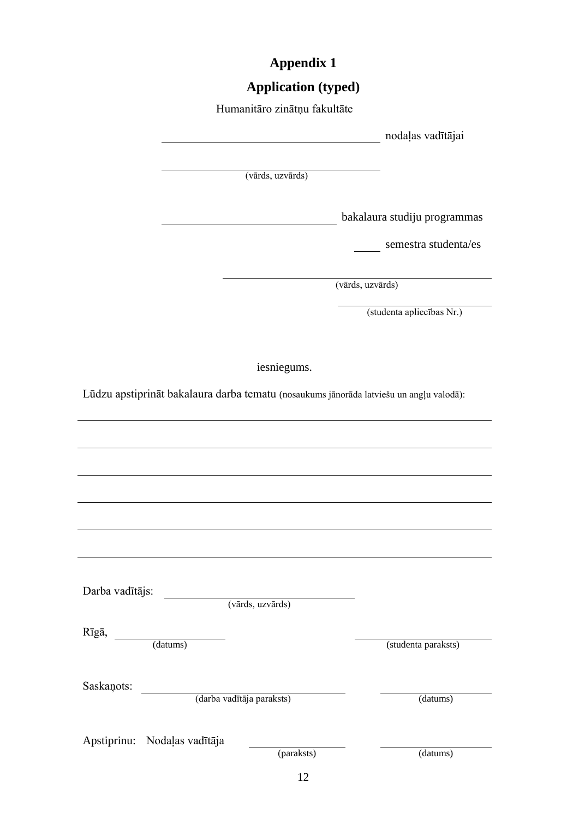# **Appendix 1**

# **Application (typed)**

|                                                                                         | Humanitāro zinātņu fakultāte |                              |
|-----------------------------------------------------------------------------------------|------------------------------|------------------------------|
|                                                                                         |                              | nodaļas vadītājai            |
|                                                                                         |                              |                              |
|                                                                                         | (vārds, uzvārds)             |                              |
|                                                                                         |                              |                              |
|                                                                                         |                              | bakalaura studiju programmas |
|                                                                                         |                              | semestra studenta/es         |
|                                                                                         |                              | (vārds, uzvārds)             |
|                                                                                         |                              |                              |
|                                                                                         |                              | (studenta apliecības Nr.)    |
|                                                                                         |                              |                              |
|                                                                                         | iesniegums.                  |                              |
| Lūdzu apstiprināt bakalaura darba tematu (nosaukums jānorāda latviešu un angļu valodā): |                              |                              |
|                                                                                         |                              |                              |
|                                                                                         |                              |                              |
|                                                                                         |                              |                              |
|                                                                                         |                              |                              |
|                                                                                         |                              |                              |
|                                                                                         |                              |                              |
|                                                                                         |                              |                              |
|                                                                                         |                              |                              |
| Darba vadītājs:                                                                         | (vārds, uzvārds)             |                              |
|                                                                                         |                              |                              |
| Rīgā,<br>(datums)                                                                       |                              | (studenta paraksts)          |
|                                                                                         |                              |                              |
| Saskaņots:                                                                              |                              |                              |
| (darba vadītāja paraksts)                                                               |                              | (datums)                     |
|                                                                                         |                              |                              |
| Apstiprinu: Nodaļas vadītāja                                                            | (paraksts)                   | (datums)                     |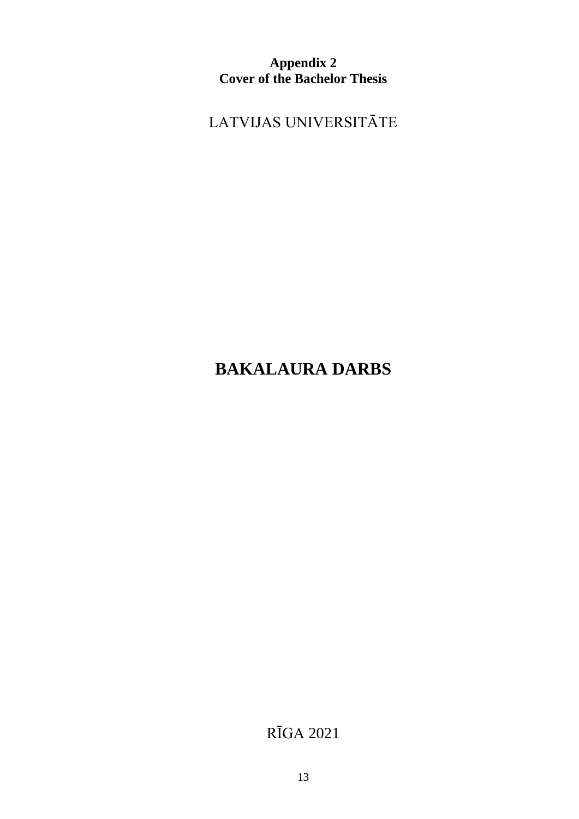**Appendix 2 Cover of the Bachelor Thesis**

LATVIJAS UNIVERSITĀTE

# **BAKALAURA DARBS**

RĪGA 2021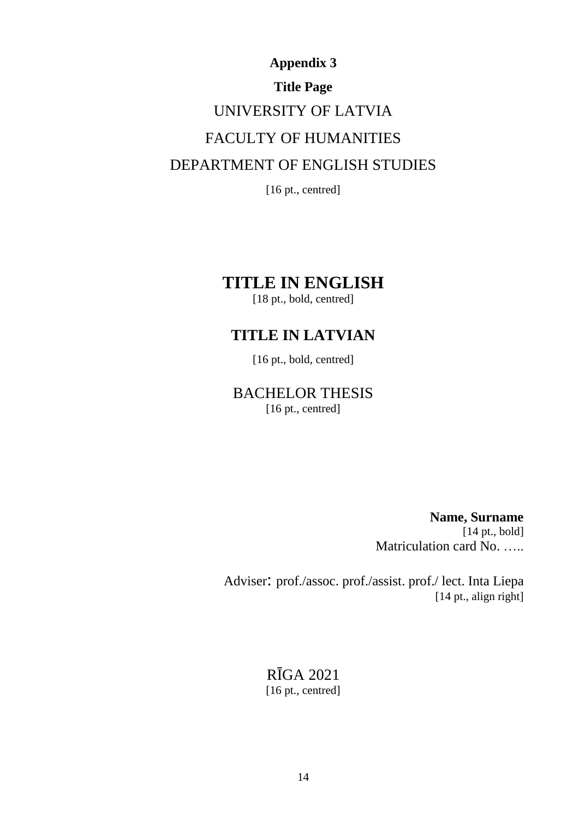# **Appendix 3 Title Page**  UNIVERSITY OF LATVIA FACULTY OF HUMANITIES DEPARTMENT OF ENGLISH STUDIES

[16 pt., centred]

## **TITLE IN ENGLISH**

[18 pt., bold, centred]

## **TITLE IN LATVIAN**

[16 pt., bold, centred]

## BACHELOR THESIS [16 pt., centred]

**Name, Surname** [14 pt., bold] Matriculation card No. …..

Adviser: prof./assoc. prof./assist. prof./ lect. Inta Liepa [14 pt., align right]

> RĪGA 2021 [16 pt., centred]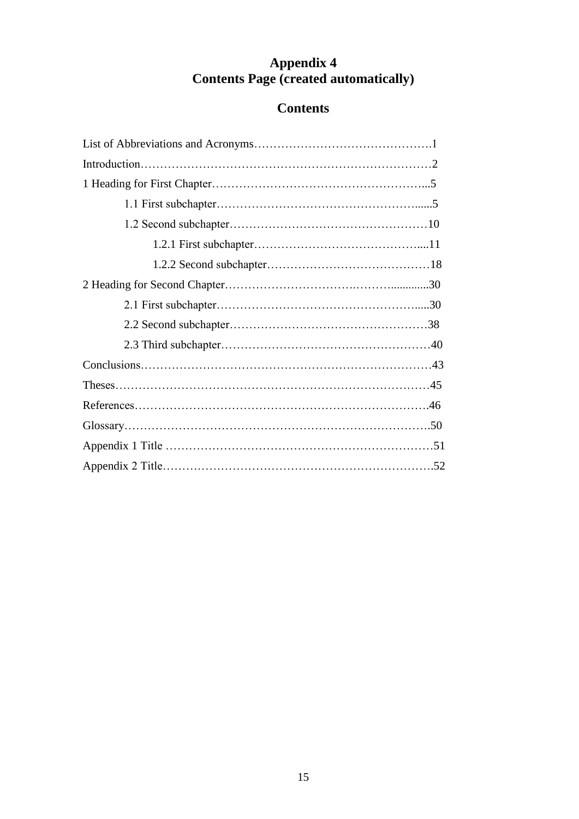## **Appendix 4 Contents Page (created automatically)**

# **Contents**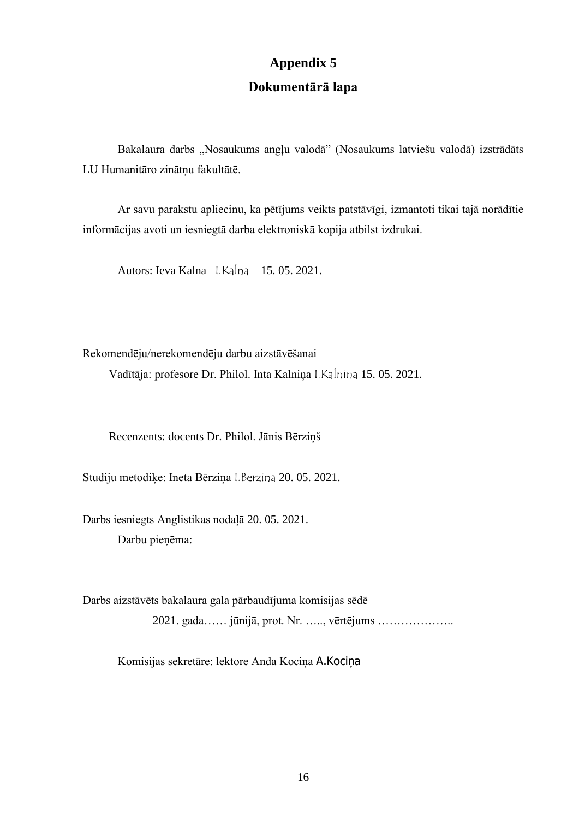# **Appendix 5 Dokumentārā lapa**

Bakalaura darbs "Nosaukums angļu valodā" (Nosaukums latviešu valodā) izstrādāts LU Humanitāro zinātņu fakultātē.

Ar savu parakstu apliecinu, ka pētījums veikts patstāvīgi, izmantoti tikai tajā norādītie informācijas avoti un iesniegtā darba elektroniskā kopija atbilst izdrukai.

Autors: Ieva Kalna I.Kalna 15. 05. 2021.

Rekomendēju/nerekomendēju darbu aizstāvēšanai

Vadītāja: profesore Dr. Philol. Inta Kalniņa I.Kalnina 15. 05. 2021.

Recenzents: docents Dr. Philol. Jānis Bērziņš

Studiju metodiķe: Ineta Bērziņa I.Berzina 20. 05. 2021.

Darbs iesniegts Anglistikas nodaļā 20. 05. 2021. Darbu pieņēma:

Darbs aizstāvēts bakalaura gala pārbaudījuma komisijas sēdē 2021. gada…… jūnijā, prot. Nr. ….., vērtējums ………………..

Komisijas sekretāre: lektore Anda Kociņa A.Kociņa